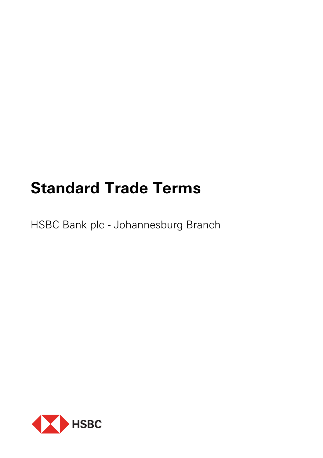# **Standard Trade Terms**

HSBC Bank plc - Johannesburg Branch

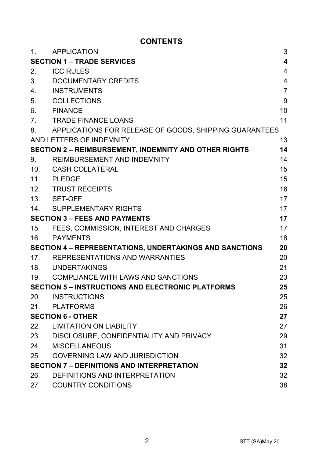# **CONTENTS**

| 1.                                                       | <b>APPLICATION</b>                                     | 3                       |
|----------------------------------------------------------|--------------------------------------------------------|-------------------------|
| <b>SECTION 1 – TRADE SERVICES</b>                        |                                                        | $\overline{\mathbf{4}}$ |
| 2.                                                       | <b>ICC RULES</b>                                       | $\overline{4}$          |
| 3.                                                       | DOCUMENTARY CREDITS                                    | 4                       |
| 4 <sub>1</sub>                                           | INSTRUMENTS                                            | $\overline{7}$          |
| 5.                                                       | COLLECTIONS                                            | 9                       |
| 6.                                                       | <b>FINANCE</b>                                         | 10                      |
| 7.                                                       | <b>TRADE FINANCE LOANS</b>                             | 11                      |
| 8.                                                       | APPLICATIONS FOR RELEASE OF GOODS, SHIPPING GUARANTEES |                         |
|                                                          | AND LETTERS OF INDEMNITY                               | 13                      |
|                                                          | SECTION 2 - REIMBURSEMENT, INDEMNITY AND OTHER RIGHTS  | 14                      |
| 9.                                                       | REIMBURSEMENT AND INDEMNITY                            | 14                      |
| 10.                                                      | CASH COLLATERAL                                        | 15                      |
| 11.                                                      | <b>PLEDGE</b>                                          | 15                      |
|                                                          | 12. TRUST RECEIPTS                                     | 16                      |
|                                                          | 13. SET-OFF                                            | 17                      |
| 14.                                                      | SUPPLEMENTARY RIGHTS                                   | 17                      |
| <b>SECTION 3 - FEES AND PAYMENTS</b>                     |                                                        | 17                      |
| 15.                                                      | FEES, COMMISSION, INTEREST AND CHARGES                 | 17                      |
|                                                          | 16. PAYMENTS                                           | 18                      |
| SECTION 4 - REPRESENTATIONS, UNDERTAKINGS AND SANCTIONS  |                                                        | 20                      |
| 17.                                                      | REPRESENTATIONS AND WARRANTIES                         | 20                      |
|                                                          | 18. UNDERTAKINGS                                       | 21                      |
|                                                          | 19. COMPLIANCE WITH LAWS AND SANCTIONS                 | 23                      |
| <b>SECTION 5 - INSTRUCTIONS AND ELECTRONIC PLATFORMS</b> |                                                        | 25                      |
| 20.                                                      | <b>INSTRUCTIONS</b>                                    | 25                      |
|                                                          | 21. PLATFORMS                                          | 26                      |
| <b>SECTION 6 - OTHER</b>                                 |                                                        | 27                      |
| 22.                                                      | <b>LIMITATION ON LIABILITY</b>                         | 27                      |
|                                                          | 23. DISCLOSURE, CONFIDENTIALITY AND PRIVACY            | 29                      |
| 24.                                                      | MISCELLANEOUS                                          | 31                      |
| 25.                                                      | <b>GOVERNING LAW AND JURISDICTION</b>                  | 32                      |
| <b>SECTION 7 - DEFINITIONS AND INTERPRETATION</b>        |                                                        | 32                      |
| 26.                                                      | DEFINITIONS AND INTERPRETATION                         | 32                      |
| 27.                                                      | <b>COUNTRY CONDITIONS</b>                              | 38                      |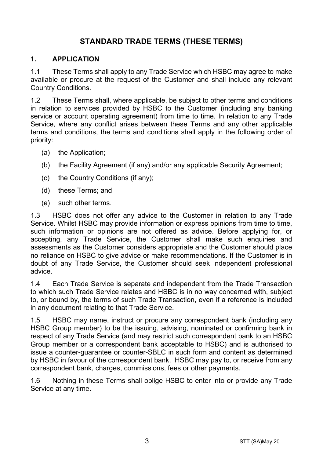# **STANDARD TRADE TERMS (THESE TERMS)**

#### **1. APPLICATION**

1.1 These Terms shall apply to any Trade Service which HSBC may agree to make available or procure at the request of the Customer and shall include any relevant Country Conditions.

1.2 These Terms shall, where applicable, be subject to other terms and conditions in relation to services provided by HSBC to the Customer (including any banking service or account operating agreement) from time to time. In relation to any Trade Service, where any conflict arises between these Terms and any other applicable terms and conditions, the terms and conditions shall apply in the following order of priority:

- (a) the Application;
- (b) the Facility Agreement (if any) and/or any applicable Security Agreement;
- (c) the Country Conditions (if any);
- (d) these Terms; and
- (e) such other terms.

1.3 HSBC does not offer any advice to the Customer in relation to any Trade Service. Whilst HSBC may provide information or express opinions from time to time, such information or opinions are not offered as advice. Before applying for, or accepting, any Trade Service, the Customer shall make such enquiries and assessments as the Customer considers appropriate and the Customer should place no reliance on HSBC to give advice or make recommendations. If the Customer is in doubt of any Trade Service, the Customer should seek independent professional advice.

1.4 Each Trade Service is separate and independent from the Trade Transaction to which such Trade Service relates and HSBC is in no way concerned with, subject to, or bound by, the terms of such Trade Transaction, even if a reference is included in any document relating to that Trade Service.

1.5 HSBC may name, instruct or procure any correspondent bank (including any HSBC Group member) to be the issuing, advising, nominated or confirming bank in respect of any Trade Service (and may restrict such correspondent bank to an HSBC Group member or a correspondent bank acceptable to HSBC) and is authorised to issue a counter-guarantee or counter-SBLC in such form and content as determined by HSBC in favour of the correspondent bank. HSBC may pay to, or receive from any correspondent bank, charges, commissions, fees or other payments.

1.6 Nothing in these Terms shall oblige HSBC to enter into or provide any Trade Service at any time.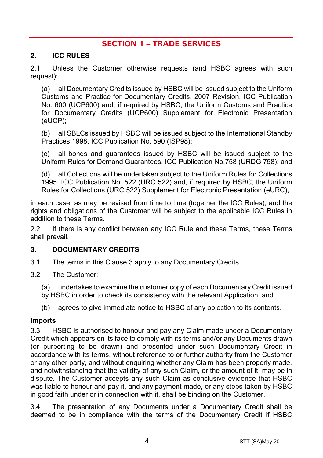# **SECTION 1 – TRADE SERVICES**

#### **2. ICC RULES**

2.1 Unless the Customer otherwise requests (and HSBC agrees with such request):

(a) all Documentary Credits issued by HSBC will be issued subject to the Uniform Customs and Practice for Documentary Credits, 2007 Revision, ICC Publication No. 600 (UCP600) and, if required by HSBC, the Uniform Customs and Practice for Documentary Credits (UCP600) Supplement for Electronic Presentation (eUCP);

(b) all SBLCs issued by HSBC will be issued subject to the International Standby Practices 1998, ICC Publication No. 590 (ISP98);

(c) all bonds and guarantees issued by HSBC will be issued subject to the Uniform Rules for Demand Guarantees, ICC Publication No.758 (URDG 758); and

(d) all Collections will be undertaken subject to the Uniform Rules for Collections 1995, ICC Publication No. 522 (URC 522) and, if required by HSBC, the Uniform Rules for Collections (URC 522) Supplement for Electronic Presentation (eURC),

in each case, as may be revised from time to time (together the ICC Rules), and the rights and obligations of the Customer will be subject to the applicable ICC Rules in addition to these Terms.

2.2 If there is any conflict between any ICC Rule and these Terms, these Terms shall prevail.

#### **3. DOCUMENTARY CREDITS**

- 3.1 The terms in this Clause 3 apply to any Documentary Credits.
- 3.2 The Customer:
	- (a) undertakes to examine the customer copy of each Documentary Credit issued
	- by HSBC in order to check its consistency with the relevant Application; and
	- (b) agrees to give immediate notice to HSBC of any objection to its contents.

#### **Imports**

3.3 HSBC is authorised to honour and pay any Claim made under a Documentary Credit which appears on its face to comply with its terms and/or any Documents drawn (or purporting to be drawn) and presented under such Documentary Credit in accordance with its terms, without reference to or further authority from the Customer or any other party, and without enquiring whether any Claim has been properly made, and notwithstanding that the validity of any such Claim, or the amount of it, may be in dispute. The Customer accepts any such Claim as conclusive evidence that HSBC was liable to honour and pay it, and any payment made, or any steps taken by HSBC in good faith under or in connection with it, shall be binding on the Customer.

3.4 The presentation of any Documents under a Documentary Credit shall be deemed to be in compliance with the terms of the Documentary Credit if HSBC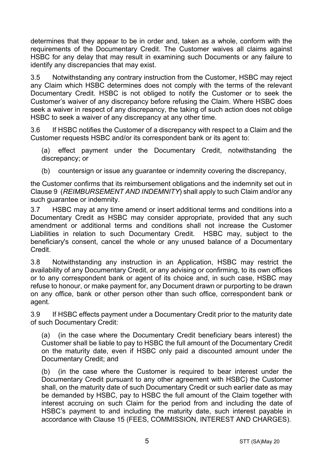determines that they appear to be in order and, taken as a whole, conform with the requirements of the Documentary Credit. The Customer waives all claims against HSBC for any delay that may result in examining such Documents or any failure to identify any discrepancies that may exist.

3.5 Notwithstanding any contrary instruction from the Customer, HSBC may reject any Claim which HSBC determines does not comply with the terms of the relevant Documentary Credit. HSBC is not obliged to notify the Customer or to seek the Customer's waiver of any discrepancy before refusing the Claim. Where HSBC does seek a waiver in respect of any discrepancy, the taking of such action does not oblige HSBC to seek a waiver of any discrepancy at any other time.

3.6 If HSBC notifies the Customer of a discrepancy with respect to a Claim and the Customer requests HSBC and/or its correspondent bank or its agent to:

(a) effect payment under the Documentary Credit, notwithstanding the discrepancy; or

(b) countersign or issue any guarantee or indemnity covering the discrepancy,

the Customer confirms that its reimbursement obligations and the indemnity set out in Clause 9 (*REIMBURSEMENT AND INDEMNITY*) shall apply to such Claim and/or any such guarantee or indemnity.

3.7 HSBC may at any time amend or insert additional terms and conditions into a Documentary Credit as HSBC may consider appropriate, provided that any such amendment or additional terms and conditions shall not increase the Customer Liabilities in relation to such Documentary Credit. HSBC may, subject to the beneficiary's consent, cancel the whole or any unused balance of a Documentary Credit.

3.8 Notwithstanding any instruction in an Application, HSBC may restrict the availability of any Documentary Credit, or any advising or confirming, to its own offices or to any correspondent bank or agent of its choice and, in such case, HSBC may refuse to honour, or make payment for, any Document drawn or purporting to be drawn on any office, bank or other person other than such office, correspondent bank or agent.

3.9 If HSBC effects payment under a Documentary Credit prior to the maturity date of such Documentary Credit:

(a) (in the case where the Documentary Credit beneficiary bears interest) the Customer shall be liable to pay to HSBC the full amount of the Documentary Credit on the maturity date, even if HSBC only paid a discounted amount under the Documentary Credit; and

(b) (in the case where the Customer is required to bear interest under the Documentary Credit pursuant to any other agreement with HSBC) the Customer shall, on the maturity date of such Documentary Credit or such earlier date as may be demanded by HSBC, pay to HSBC the full amount of the Claim together with interest accruing on such Claim for the period from and including the date of HSBC's payment to and including the maturity date, such interest payable in accordance with Clause 15 (FEES, COMMISSION, INTEREST AND CHARGES).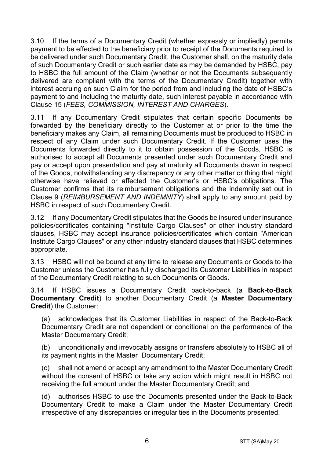3.10 If the terms of a Documentary Credit (whether expressly or impliedly) permits payment to be effected to the beneficiary prior to receipt of the Documents required to be delivered under such Documentary Credit, the Customer shall, on the maturity date of such Documentary Credit or such earlier date as may be demanded by HSBC, pay to HSBC the full amount of the Claim (whether or not the Documents subsequently delivered are compliant with the terms of the Documentary Credit) together with interest accruing on such Claim for the period from and including the date of HSBC's payment to and including the maturity date, such interest payable in accordance with Clause 15 (*FEES, COMMISSION, INTEREST AND CHARGES*).

3.11 If any Documentary Credit stipulates that certain specific Documents be forwarded by the beneficiary directly to the Customer at or prior to the time the beneficiary makes any Claim, all remaining Documents must be produced to HSBC in respect of any Claim under such Documentary Credit. If the Customer uses the Documents forwarded directly to it to obtain possession of the Goods, HSBC is authorised to accept all Documents presented under such Documentary Credit and pay or accept upon presentation and pay at maturity all Documents drawn in respect of the Goods, notwithstanding any discrepancy or any other matter or thing that might otherwise have relieved or affected the Customer's or HSBC's obligations. The Customer confirms that its reimbursement obligations and the indemnity set out in Clause 9 (*REIMBURSEMENT AND INDEMNITY*) shall apply to any amount paid by HSBC in respect of such Documentary Credit.

3.12 If any Documentary Credit stipulates that the Goods be insured under insurance policies/certificates containing "Institute Cargo Clauses" or other industry standard clauses, HSBC may accept insurance policies/certificates which contain "American Institute Cargo Clauses" or any other industry standard clauses that HSBC determines appropriate.

3.13 HSBC will not be bound at any time to release any Documents or Goods to the Customer unless the Customer has fully discharged its Customer Liabilities in respect of the Documentary Credit relating to such Documents or Goods.

3.14 If HSBC issues a Documentary Credit back-to-back (a **Back-to-Back Documentary Credit**) to another Documentary Credit (a **Master Documentary Credit**) the Customer:

(a) acknowledges that its Customer Liabilities in respect of the Back-to-Back Documentary Credit are not dependent or conditional on the performance of the Master Documentary Credit;

(b) unconditionally and irrevocably assigns or transfers absolutely to HSBC all of its payment rights in the Master Documentary Credit;

(c) shall not amend or accept any amendment to the Master Documentary Credit without the consent of HSBC or take any action which might result in HSBC not receiving the full amount under the Master Documentary Credit; and

(d) authorises HSBC to use the Documents presented under the Back-to-Back Documentary Credit to make a Claim under the Master Documentary Credit irrespective of any discrepancies or irregularities in the Documents presented.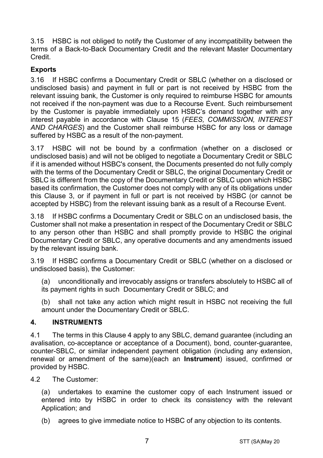3.15 HSBC is not obliged to notify the Customer of any incompatibility between the terms of a Back-to-Back Documentary Credit and the relevant Master Documentary Credit.

# **Exports**

3.16 If HSBC confirms a Documentary Credit or SBLC (whether on a disclosed or undisclosed basis) and payment in full or part is not received by HSBC from the relevant issuing bank, the Customer is only required to reimburse HSBC for amounts not received if the non-payment was due to a Recourse Event. Such reimbursement by the Customer is payable immediately upon HSBC's demand together with any interest payable in accordance with Clause 15 (*FEES, COMMISSION, INTEREST AND CHARGES*) and the Customer shall reimburse HSBC for any loss or damage suffered by HSBC as a result of the non-payment.

3.17 HSBC will not be bound by a confirmation (whether on a disclosed or undisclosed basis) and will not be obliged to negotiate a Documentary Credit or SBLC if it is amended without HSBC's consent, the Documents presented do not fully comply with the terms of the Documentary Credit or SBLC, the original Documentary Credit or SBLC is different from the copy of the Documentary Credit or SBLC upon which HSBC based its confirmation, the Customer does not comply with any of its obligations under this Clause 3, or if payment in full or part is not received by HSBC (or cannot be accepted by HSBC) from the relevant issuing bank as a result of a Recourse Event.

3.18 If HSBC confirms a Documentary Credit or SBLC on an undisclosed basis, the Customer shall not make a presentation in respect of the Documentary Credit or SBLC to any person other than HSBC and shall promptly provide to HSBC the original Documentary Credit or SBLC, any operative documents and any amendments issued by the relevant issuing bank.

3.19 If HSBC confirms a Documentary Credit or SBLC (whether on a disclosed or undisclosed basis), the Customer:

(a) unconditionally and irrevocably assigns or transfers absolutely to HSBC all of its payment rights in such Documentary Credit or SBLC; and

(b) shall not take any action which might result in HSBC not receiving the full amount under the Documentary Credit or SBLC.

#### **4. INSTRUMENTS**

4.1 The terms in this Clause 4 apply to any SBLC, demand guarantee (including an avalisation, co-acceptance or acceptance of a Document), bond, counter-guarantee, counter-SBLC, or similar independent payment obligation (including any extension, renewal or amendment of the same)(each an **Instrument**) issued, confirmed or provided by HSBC.

4.2 The Customer:

(a) undertakes to examine the customer copy of each Instrument issued or entered into by HSBC in order to check its consistency with the relevant Application; and

(b) agrees to give immediate notice to HSBC of any objection to its contents.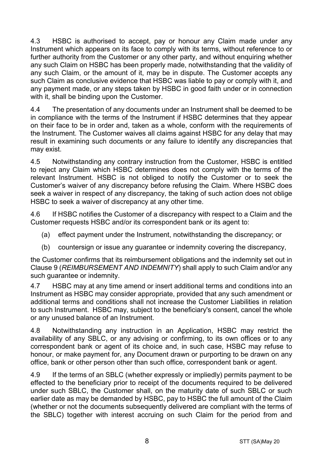4.3 HSBC is authorised to accept, pay or honour any Claim made under any Instrument which appears on its face to comply with its terms, without reference to or further authority from the Customer or any other party, and without enquiring whether any such Claim on HSBC has been properly made, notwithstanding that the validity of any such Claim, or the amount of it, may be in dispute. The Customer accepts any such Claim as conclusive evidence that HSBC was liable to pay or comply with it, and any payment made, or any steps taken by HSBC in good faith under or in connection with it, shall be binding upon the Customer.

4.4 The presentation of any documents under an Instrument shall be deemed to be in compliance with the terms of the Instrument if HSBC determines that they appear on their face to be in order and, taken as a whole, conform with the requirements of the Instrument. The Customer waives all claims against HSBC for any delay that may result in examining such documents or any failure to identify any discrepancies that may exist.

4.5 Notwithstanding any contrary instruction from the Customer, HSBC is entitled to reject any Claim which HSBC determines does not comply with the terms of the relevant Instrument. HSBC is not obliged to notify the Customer or to seek the Customer's waiver of any discrepancy before refusing the Claim. Where HSBC does seek a waiver in respect of any discrepancy, the taking of such action does not oblige HSBC to seek a waiver of discrepancy at any other time.

4.6 If HSBC notifies the Customer of a discrepancy with respect to a Claim and the Customer requests HSBC and/or its correspondent bank or its agent to:

- (a) effect payment under the Instrument, notwithstanding the discrepancy; or
- (b) countersign or issue any guarantee or indemnity covering the discrepancy,

the Customer confirms that its reimbursement obligations and the indemnity set out in Clause 9 (*REIMBURSEMENT AND INDEMNITY*) shall apply to such Claim and/or any such guarantee or indemnity.

4.7 HSBC may at any time amend or insert additional terms and conditions into an Instrument as HSBC may consider appropriate, provided that any such amendment or additional terms and conditions shall not increase the Customer Liabilities in relation to such Instrument. HSBC may, subject to the beneficiary's consent, cancel the whole or any unused balance of an Instrument.

4.8 Notwithstanding any instruction in an Application, HSBC may restrict the availability of any SBLC, or any advising or confirming, to its own offices or to any correspondent bank or agent of its choice and, in such case, HSBC may refuse to honour, or make payment for, any Document drawn or purporting to be drawn on any office, bank or other person other than such office, correspondent bank or agent.

4.9 If the terms of an SBLC (whether expressly or impliedly) permits payment to be effected to the beneficiary prior to receipt of the documents required to be delivered under such SBLC, the Customer shall, on the maturity date of such SBLC or such earlier date as may be demanded by HSBC, pay to HSBC the full amount of the Claim (whether or not the documents subsequently delivered are compliant with the terms of the SBLC) together with interest accruing on such Claim for the period from and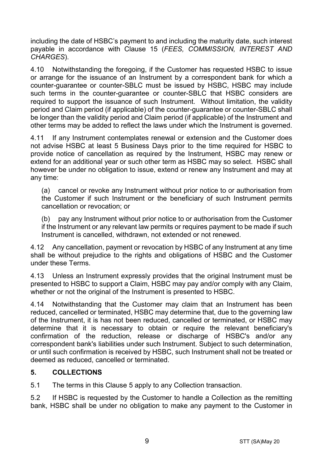including the date of HSBC's payment to and including the maturity date, such interest payable in accordance with Clause 15 (*FEES, COMMISSION, INTEREST AND CHARGES*).

4.10 Notwithstanding the foregoing, if the Customer has requested HSBC to issue or arrange for the issuance of an Instrument by a correspondent bank for which a counter-guarantee or counter-SBLC must be issued by HSBC, HSBC may include such terms in the counter-guarantee or counter-SBLC that HSBC considers are required to support the issuance of such Instrument. Without limitation, the validity period and Claim period (if applicable) of the counter-guarantee or counter-SBLC shall be longer than the validity period and Claim period (if applicable) of the Instrument and other terms may be added to reflect the laws under which the Instrument is governed.

4.11 If any Instrument contemplates renewal or extension and the Customer does not advise HSBC at least 5 Business Days prior to the time required for HSBC to provide notice of cancellation as required by the Instrument, HSBC may renew or extend for an additional year or such other term as HSBC may so select. HSBC shall however be under no obligation to issue, extend or renew any Instrument and may at any time:

(a) cancel or revoke any Instrument without prior notice to or authorisation from the Customer if such Instrument or the beneficiary of such Instrument permits cancellation or revocation; or

(b) pay any Instrument without prior notice to or authorisation from the Customer if the Instrument or any relevant law permits or requires payment to be made if such Instrument is cancelled, withdrawn, not extended or not renewed.

4.12 Any cancellation, payment or revocation by HSBC of any Instrument at any time shall be without prejudice to the rights and obligations of HSBC and the Customer under these Terms.

4.13 Unless an Instrument expressly provides that the original Instrument must be presented to HSBC to support a Claim, HSBC may pay and/or comply with any Claim, whether or not the original of the Instrument is presented to HSBC.

4.14 Notwithstanding that the Customer may claim that an Instrument has been reduced, cancelled or terminated, HSBC may determine that, due to the governing law of the Instrument, it is has not been reduced, cancelled or terminated, or HSBC may determine that it is necessary to obtain or require the relevant beneficiary's confirmation of the reduction, release or discharge of HSBC's and/or any correspondent bank's liabilities under such Instrument. Subject to such determination, or until such confirmation is received by HSBC, such Instrument shall not be treated or deemed as reduced, cancelled or terminated.

## **5. COLLECTIONS**

5.1 The terms in this Clause 5 apply to any Collection transaction.

5.2 If HSBC is requested by the Customer to handle a Collection as the remitting bank, HSBC shall be under no obligation to make any payment to the Customer in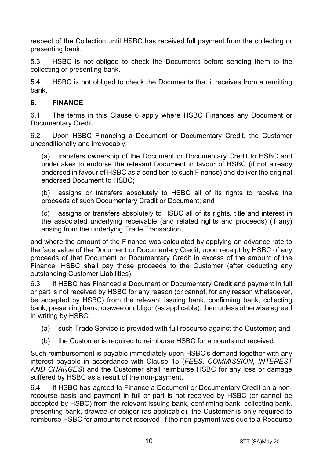respect of the Collection until HSBC has received full payment from the collecting or presenting bank.

5.3 HSBC is not obliged to check the Documents before sending them to the collecting or presenting bank.

5.4 HSBC is not obliged to check the Documents that it receives from a remitting bank.

## **6. FINANCE**

6.1 The terms in this Clause 6 apply where HSBC Finances any Document or Documentary Credit.

6.2 Upon HSBC Financing a Document or Documentary Credit, the Customer unconditionally and irrevocably:

(a) transfers ownership of the Document or Documentary Credit to HSBC and undertakes to endorse the relevant Document in favour of HSBC (if not already endorsed in favour of HSBC as a condition to such Finance) and deliver the original endorsed Document to HSBC;

(b) assigns or transfers absolutely to HSBC all of its rights to receive the proceeds of such Documentary Credit or Document; and

(c) assigns or transfers absolutely to HSBC all of its rights, title and interest in the associated underlying receivable (and related rights and proceeds) (if any) arising from the underlying Trade Transaction,

and where the amount of the Finance was calculated by applying an advance rate to the face value of the Document or Documentary Credit, upon receipt by HSBC of any proceeds of that Document or Documentary Credit in excess of the amount of the Finance, HSBC shall pay those proceeds to the Customer (after deducting any outstanding Customer Liabilities).

6.3 If HSBC has Financed a Document or Documentary Credit and payment in full or part is not received by HSBC for any reason (or cannot, for any reason whatsoever, be accepted by HSBC) from the relevant issuing bank, confirming bank, collecting bank, presenting bank, drawee or obligor (as applicable), then unless otherwise agreed in writing by HSBC:

- (a) such Trade Service is provided with full recourse against the Customer; and
- (b) the Customer is required to reimburse HSBC for amounts not received.

Such reimbursement is payable immediately upon HSBC's demand together with any interest payable in accordance with Clause 15 (*FEES, COMMISSION, INTEREST AND CHARGES*) and the Customer shall reimburse HSBC for any loss or damage suffered by HSBC as a result of the non-payment.

6.4 If HSBC has agreed to Finance a Document or Documentary Credit on a nonrecourse basis and payment in full or part is not received by HSBC (or cannot be accepted by HSBC) from the relevant issuing bank, confirming bank, collecting bank, presenting bank, drawee or obligor (as applicable), the Customer is only required to reimburse HSBC for amounts not received if the non-payment was due to a Recourse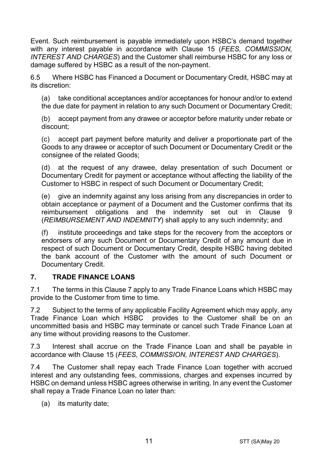Event. Such reimbursement is payable immediately upon HSBC's demand together with any interest payable in accordance with Clause 15 (*FEES, COMMISSION, INTEREST AND CHARGES*) and the Customer shall reimburse HSBC for any loss or damage suffered by HSBC as a result of the non-payment.

6.5 Where HSBC has Financed a Document or Documentary Credit, HSBC may at its discretion:

(a) take conditional acceptances and/or acceptances for honour and/or to extend the due date for payment in relation to any such Document or Documentary Credit;

(b) accept payment from any drawee or acceptor before maturity under rebate or discount;

(c) accept part payment before maturity and deliver a proportionate part of the Goods to any drawee or acceptor of such Document or Documentary Credit or the consignee of the related Goods;

(d) at the request of any drawee, delay presentation of such Document or Documentary Credit for payment or acceptance without affecting the liability of the Customer to HSBC in respect of such Document or Documentary Credit;

(e) give an indemnity against any loss arising from any discrepancies in order to obtain acceptance or payment of a Document and the Customer confirms that its reimbursement obligations and the indemnity set out in Clause 9 (*REIMBURSEMENT AND INDEMNITY*) shall apply to any such indemnity; and

(f) institute proceedings and take steps for the recovery from the acceptors or endorsers of any such Document or Documentary Credit of any amount due in respect of such Document or Documentary Credit, despite HSBC having debited the bank account of the Customer with the amount of such Document or Documentary Credit.

#### **7. TRADE FINANCE LOANS**

7.1 The terms in this Clause 7 apply to any Trade Finance Loans which HSBC may provide to the Customer from time to time.

7.2 Subject to the terms of any applicable Facility Agreement which may apply, any Trade Finance Loan which HSBC provides to the Customer shall be on an uncommitted basis and HSBC may terminate or cancel such Trade Finance Loan at any time without providing reasons to the Customer.

7.3 Interest shall accrue on the Trade Finance Loan and shall be payable in accordance with Clause 15 (*FEES, COMMISSION, INTEREST AND CHARGES*).

7.4 The Customer shall repay each Trade Finance Loan together with accrued interest and any outstanding fees, commissions, charges and expenses incurred by HSBC on demand unless HSBC agrees otherwise in writing. In any event the Customer shall repay a Trade Finance Loan no later than:

(a) its maturity date;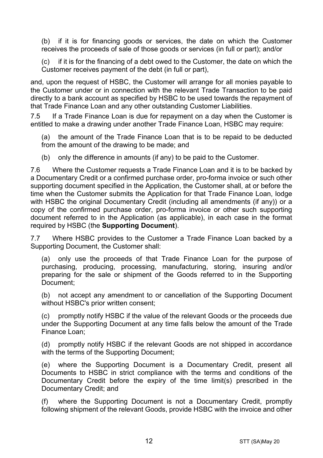(b) if it is for financing goods or services, the date on which the Customer receives the proceeds of sale of those goods or services (in full or part); and/or

(c) if it is for the financing of a debt owed to the Customer, the date on which the Customer receives payment of the debt (in full or part),

and, upon the request of HSBC, the Customer will arrange for all monies payable to the Customer under or in connection with the relevant Trade Transaction to be paid directly to a bank account as specified by HSBC to be used towards the repayment of that Trade Finance Loan and any other outstanding Customer Liabilities.

7.5 If a Trade Finance Loan is due for repayment on a day when the Customer is entitled to make a drawing under another Trade Finance Loan, HSBC may require:

(a) the amount of the Trade Finance Loan that is to be repaid to be deducted from the amount of the drawing to be made; and

(b) only the difference in amounts (if any) to be paid to the Customer.

7.6 Where the Customer requests a Trade Finance Loan and it is to be backed by a Documentary Credit or a confirmed purchase order, pro-forma invoice or such other supporting document specified in the Application, the Customer shall, at or before the time when the Customer submits the Application for that Trade Finance Loan, lodge with HSBC the original Documentary Credit (including all amendments (if any)) or a copy of the confirmed purchase order, pro-forma invoice or other such supporting document referred to in the Application (as applicable), in each case in the format required by HSBC (the **Supporting Document**).

7.7 Where HSBC provides to the Customer a Trade Finance Loan backed by a Supporting Document, the Customer shall:

(a) only use the proceeds of that Trade Finance Loan for the purpose of purchasing, producing, processing, manufacturing, storing, insuring and/or preparing for the sale or shipment of the Goods referred to in the Supporting Document;

(b) not accept any amendment to or cancellation of the Supporting Document without HSBC's prior written consent;

(c) promptly notify HSBC if the value of the relevant Goods or the proceeds due under the Supporting Document at any time falls below the amount of the Trade Finance Loan;

(d) promptly notify HSBC if the relevant Goods are not shipped in accordance with the terms of the Supporting Document;

(e) where the Supporting Document is a Documentary Credit, present all Documents to HSBC in strict compliance with the terms and conditions of the Documentary Credit before the expiry of the time limit(s) prescribed in the Documentary Credit; and

(f) where the Supporting Document is not a Documentary Credit, promptly following shipment of the relevant Goods, provide HSBC with the invoice and other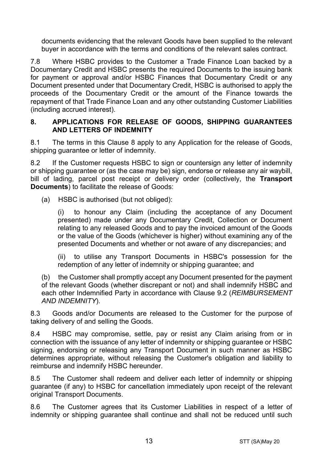documents evidencing that the relevant Goods have been supplied to the relevant buyer in accordance with the terms and conditions of the relevant sales contract.

7.8 Where HSBC provides to the Customer a Trade Finance Loan backed by a Documentary Credit and HSBC presents the required Documents to the issuing bank for payment or approval and/or HSBC Finances that Documentary Credit or any Document presented under that Documentary Credit, HSBC is authorised to apply the proceeds of the Documentary Credit or the amount of the Finance towards the repayment of that Trade Finance Loan and any other outstanding Customer Liabilities (including accrued interest).

#### **8. APPLICATIONS FOR RELEASE OF GOODS, SHIPPING GUARANTEES AND LETTERS OF INDEMNITY**

8.1 The terms in this Clause 8 apply to any Application for the release of Goods, shipping quarantee or letter of indemnity.

8.2 If the Customer requests HSBC to sign or countersign any letter of indemnity or shipping guarantee or (as the case may be) sign, endorse or release any air waybill, bill of lading, parcel post receipt or delivery order (collectively, the **Transport Documents**) to facilitate the release of Goods:

(a) HSBC is authorised (but not obliged):

(i) to honour any Claim (including the acceptance of any Document presented) made under any Documentary Credit, Collection or Document relating to any released Goods and to pay the invoiced amount of the Goods or the value of the Goods (whichever is higher) without examining any of the presented Documents and whether or not aware of any discrepancies; and

(ii) to utilise any Transport Documents in HSBC's possession for the redemption of any letter of indemnity or shipping guarantee; and

(b) the Customer shall promptly accept any Document presented for the payment of the relevant Goods (whether discrepant or not) and shall indemnify HSBC and each other Indemnified Party in accordance with Clause 9.2 (*REIMBURSEMENT AND INDEMNITY*).

8.3 Goods and/or Documents are released to the Customer for the purpose of taking delivery of and selling the Goods.

8.4 HSBC may compromise, settle, pay or resist any Claim arising from or in connection with the issuance of any letter of indemnity or shipping guarantee or HSBC signing, endorsing or releasing any Transport Document in such manner as HSBC determines appropriate, without releasing the Customer's obligation and liability to reimburse and indemnify HSBC hereunder.

8.5 The Customer shall redeem and deliver each letter of indemnity or shipping guarantee (if any) to HSBC for cancellation immediately upon receipt of the relevant original Transport Documents.

8.6 The Customer agrees that its Customer Liabilities in respect of a letter of indemnity or shipping guarantee shall continue and shall not be reduced until such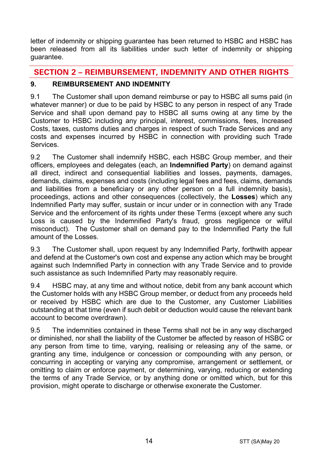letter of indemnity or shipping guarantee has been returned to HSBC and HSBC has been released from all its liabilities under such letter of indemnity or shipping guarantee.

# **SECTION 2 – REIMBURSEMENT, INDEMNITY AND OTHER RIGHTS**

# **9. REIMBURSEMENT AND INDEMNITY**

9.1 The Customer shall upon demand reimburse or pay to HSBC all sums paid (in whatever manner) or due to be paid by HSBC to any person in respect of any Trade Service and shall upon demand pay to HSBC all sums owing at any time by the Customer to HSBC including any principal, interest, commissions, fees, Increased Costs, taxes, customs duties and charges in respect of such Trade Services and any costs and expenses incurred by HSBC in connection with providing such Trade **Services** 

9.2 The Customer shall indemnify HSBC, each HSBC Group member, and their officers, employees and delegates (each, an **Indemnified Party**) on demand against all direct, indirect and consequential liabilities and losses, payments, damages, demands, claims, expenses and costs (including legal fees and fees, claims, demands and liabilities from a beneficiary or any other person on a full indemnity basis), proceedings, actions and other consequences (collectively, the **Losses**) which any Indemnified Party may suffer, sustain or incur under or in connection with any Trade Service and the enforcement of its rights under these Terms (except where any such Loss is caused by the Indemnified Party's fraud, gross negligence or wilful misconduct). The Customer shall on demand pay to the Indemnified Party the full amount of the Losses.

9.3 The Customer shall, upon request by any Indemnified Party, forthwith appear and defend at the Customer's own cost and expense any action which may be brought against such Indemnified Party in connection with any Trade Service and to provide such assistance as such Indemnified Party may reasonably require.

9.4 HSBC may, at any time and without notice, debit from any bank account which the Customer holds with any HSBC Group member, or deduct from any proceeds held or received by HSBC which are due to the Customer, any Customer Liabilities outstanding at that time (even if such debit or deduction would cause the relevant bank account to become overdrawn).

9.5 The indemnities contained in these Terms shall not be in any way discharged or diminished, nor shall the liability of the Customer be affected by reason of HSBC or any person from time to time, varying, realising or releasing any of the same, or granting any time, indulgence or concession or compounding with any person, or concurring in accepting or varying any compromise, arrangement or settlement, or omitting to claim or enforce payment, or determining, varying, reducing or extending the terms of any Trade Service, or by anything done or omitted which, but for this provision, might operate to discharge or otherwise exonerate the Customer.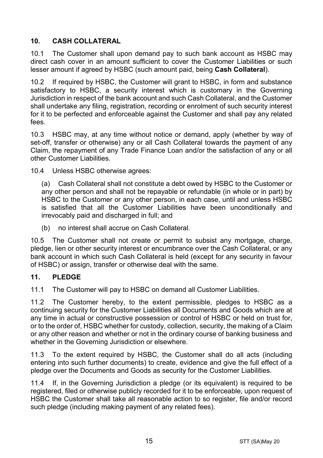# **10. CASH COLLATERAL**

10.1 The Customer shall upon demand pay to such bank account as HSBC may direct cash cover in an amount sufficient to cover the Customer Liabilities or such lesser amount if agreed by HSBC (such amount paid, being **Cash Collateral**).

10.2 If required by HSBC, the Customer will grant to HSBC, in form and substance satisfactory to HSBC, a security interest which is customary in the Governing Jurisdiction in respect of the bank account and such Cash Collateral, and the Customer shall undertake any filing, registration, recording or enrolment of such security interest for it to be perfected and enforceable against the Customer and shall pay any related fees.

10.3 HSBC may, at any time without notice or demand, apply (whether by way of set-off, transfer or otherwise) any or all Cash Collateral towards the payment of any Claim, the repayment of any Trade Finance Loan and/or the satisfaction of any or all other Customer Liabilities.

10.4 Unless HSBC otherwise agrees:

(a) Cash Collateral shall not constitute a debt owed by HSBC to the Customer or any other person and shall not be repayable or refundable (in whole or in part) by HSBC to the Customer or any other person, in each case, until and unless HSBC is satisfied that all the Customer Liabilities have been unconditionally and irrevocably paid and discharged in full; and

(b) no interest shall accrue on Cash Collateral.

10.5 The Customer shall not create or permit to subsist any mortgage, charge, pledge, lien or other security interest or encumbrance over the Cash Collateral, or any bank account in which such Cash Collateral is held (except for any security in favour of HSBC) or assign, transfer or otherwise deal with the same.

#### **11. PLEDGE**

11.1 The Customer will pay to HSBC on demand all Customer Liabilities.

11.2 The Customer hereby, to the extent permissible, pledges to HSBC as a continuing security for the Customer Liabilities all Documents and Goods which are at any time in actual or constructive possession or control of HSBC or held on trust for, or to the order of, HSBC whether for custody, collection, security, the making of a Claim or any other reason and whether or not in the ordinary course of banking business and whether in the Governing Jurisdiction or elsewhere.

11.3 To the extent required by HSBC, the Customer shall do all acts (including entering into such further documents) to create, evidence and give the full effect of a pledge over the Documents and Goods as security for the Customer Liabilities.

11.4 If, in the Governing Jurisdiction a pledge (or its equivalent) is required to be registered, filed or otherwise publicly recorded for it to be enforceable, upon request of HSBC the Customer shall take all reasonable action to so register, file and/or record such pledge (including making payment of any related fees).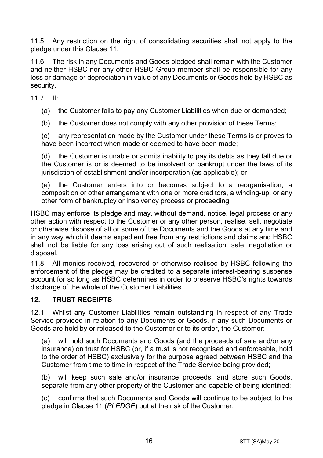11.5 Any restriction on the right of consolidating securities shall not apply to the pledge under this Clause 11.

11.6 The risk in any Documents and Goods pledged shall remain with the Customer and neither HSBC nor any other HSBC Group member shall be responsible for any loss or damage or depreciation in value of any Documents or Goods held by HSBC as security.

11.7 If:

(a) the Customer fails to pay any Customer Liabilities when due or demanded;

(b) the Customer does not comply with any other provision of these Terms;

(c) any representation made by the Customer under these Terms is or proves to have been incorrect when made or deemed to have been made;

(d) the Customer is unable or admits inability to pay its debts as they fall due or the Customer is or is deemed to be insolvent or bankrupt under the laws of its jurisdiction of establishment and/or incorporation (as applicable); or

(e) the Customer enters into or becomes subject to a reorganisation, a composition or other arrangement with one or more creditors, a winding-up, or any other form of bankruptcy or insolvency process or proceeding,

HSBC may enforce its pledge and may, without demand, notice, legal process or any other action with respect to the Customer or any other person, realise, sell, negotiate or otherwise dispose of all or some of the Documents and the Goods at any time and in any way which it deems expedient free from any restrictions and claims and HSBC shall not be liable for any loss arising out of such realisation, sale, negotiation or disposal.

11.8 All monies received, recovered or otherwise realised by HSBC following the enforcement of the pledge may be credited to a separate interest-bearing suspense account for so long as HSBC determines in order to preserve HSBC's rights towards discharge of the whole of the Customer Liabilities.

#### **12. TRUST RECEIPTS**

12.1 Whilst any Customer Liabilities remain outstanding in respect of any Trade Service provided in relation to any Documents or Goods, if any such Documents or Goods are held by or released to the Customer or to its order, the Customer:

(a) will hold such Documents and Goods (and the proceeds of sale and/or any insurance) on trust for HSBC (or, if a trust is not recognised and enforceable, hold to the order of HSBC) exclusively for the purpose agreed between HSBC and the Customer from time to time in respect of the Trade Service being provided;

(b) will keep such sale and/or insurance proceeds, and store such Goods, separate from any other property of the Customer and capable of being identified;

(c) confirms that such Documents and Goods will continue to be subject to the pledge in Clause 11 (*PLEDGE*) but at the risk of the Customer;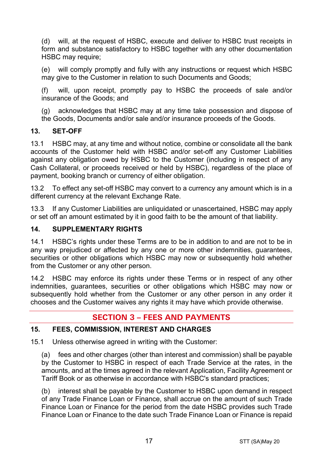(d) will, at the request of HSBC, execute and deliver to HSBC trust receipts in form and substance satisfactory to HSBC together with any other documentation HSBC may require:

(e) will comply promptly and fully with any instructions or request which HSBC may give to the Customer in relation to such Documents and Goods;

(f) will, upon receipt, promptly pay to HSBC the proceeds of sale and/or insurance of the Goods; and

(g) acknowledges that HSBC may at any time take possession and dispose of the Goods, Documents and/or sale and/or insurance proceeds of the Goods.

## **13. SET-OFF**

13.1 HSBC may, at any time and without notice, combine or consolidate all the bank accounts of the Customer held with HSBC and/or set-off any Customer Liabilities against any obligation owed by HSBC to the Customer (including in respect of any Cash Collateral, or proceeds received or held by HSBC), regardless of the place of payment, booking branch or currency of either obligation.

13.2 To effect any set-off HSBC may convert to a currency any amount which is in a different currency at the relevant Exchange Rate.

13.3 If any Customer Liabilities are unliquidated or unascertained, HSBC may apply or set off an amount estimated by it in good faith to be the amount of that liability.

## **14. SUPPLEMENTARY RIGHTS**

14.1 HSBC's rights under these Terms are to be in addition to and are not to be in any way prejudiced or affected by any one or more other indemnities, guarantees, securities or other obligations which HSBC may now or subsequently hold whether from the Customer or any other person.

14.2 HSBC may enforce its rights under these Terms or in respect of any other indemnities, guarantees, securities or other obligations which HSBC may now or subsequently hold whether from the Customer or any other person in any order it chooses and the Customer waives any rights it may have which provide otherwise.

# **SECTION 3 – FEES AND PAYMENTS**

#### **15. FEES, COMMISSION, INTEREST AND CHARGES**

15.1 Unless otherwise agreed in writing with the Customer:

(a) fees and other charges (other than interest and commission) shall be payable by the Customer to HSBC in respect of each Trade Service at the rates, in the amounts, and at the times agreed in the relevant Application, Facility Agreement or Tariff Book or as otherwise in accordance with HSBC's standard practices;

(b) interest shall be payable by the Customer to HSBC upon demand in respect of any Trade Finance Loan or Finance, shall accrue on the amount of such Trade Finance Loan or Finance for the period from the date HSBC provides such Trade Finance Loan or Finance to the date such Trade Finance Loan or Finance is repaid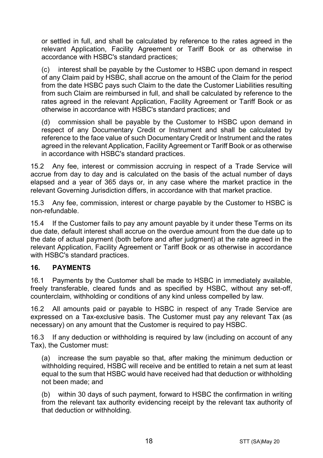or settled in full, and shall be calculated by reference to the rates agreed in the relevant Application, Facility Agreement or Tariff Book or as otherwise in accordance with HSBC's standard practices;

(c) interest shall be payable by the Customer to HSBC upon demand in respect of any Claim paid by HSBC, shall accrue on the amount of the Claim for the period from the date HSBC pays such Claim to the date the Customer Liabilities resulting from such Claim are reimbursed in full, and shall be calculated by reference to the rates agreed in the relevant Application, Facility Agreement or Tariff Book or as otherwise in accordance with HSBC's standard practices; and

(d) commission shall be payable by the Customer to HSBC upon demand in respect of any Documentary Credit or Instrument and shall be calculated by reference to the face value of such Documentary Credit or Instrument and the rates agreed in the relevant Application, Facility Agreement or Tariff Book or as otherwise in accordance with HSBC's standard practices.

15.2 Any fee, interest or commission accruing in respect of a Trade Service will accrue from day to day and is calculated on the basis of the actual number of days elapsed and a year of 365 days or, in any case where the market practice in the relevant Governing Jurisdiction differs, in accordance with that market practice.

15.3 Any fee, commission, interest or charge payable by the Customer to HSBC is non-refundable.

15.4 If the Customer fails to pay any amount payable by it under these Terms on its due date, default interest shall accrue on the overdue amount from the due date up to the date of actual payment (both before and after judgment) at the rate agreed in the relevant Application, Facility Agreement or Tariff Book or as otherwise in accordance with HSBC's standard practices.

#### **16. PAYMENTS**

16.1 Payments by the Customer shall be made to HSBC in immediately available, freely transferable, cleared funds and as specified by HSBC, without any set-off, counterclaim, withholding or conditions of any kind unless compelled by law.

16.2 All amounts paid or payable to HSBC in respect of any Trade Service are expressed on a Tax-exclusive basis. The Customer must pay any relevant Tax (as necessary) on any amount that the Customer is required to pay HSBC.

16.3 If any deduction or withholding is required by law (including on account of any Tax), the Customer must:

(a) increase the sum payable so that, after making the minimum deduction or withholding required, HSBC will receive and be entitled to retain a net sum at least equal to the sum that HSBC would have received had that deduction or withholding not been made; and

(b) within 30 days of such payment, forward to HSBC the confirmation in writing from the relevant tax authority evidencing receipt by the relevant tax authority of that deduction or withholding.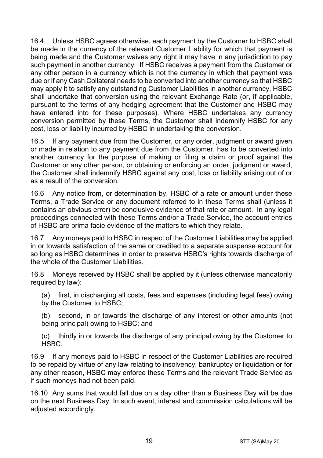16.4 Unless HSBC agrees otherwise, each payment by the Customer to HSBC shall be made in the currency of the relevant Customer Liability for which that payment is being made and the Customer waives any right it may have in any jurisdiction to pay such payment in another currency. If HSBC receives a payment from the Customer or any other person in a currency which is not the currency in which that payment was due or if any Cash Collateral needs to be converted into another currency so that HSBC may apply it to satisfy any outstanding Customer Liabilities in another currency, HSBC shall undertake that conversion using the relevant Exchange Rate (or, if applicable, pursuant to the terms of any hedging agreement that the Customer and HSBC may have entered into for these purposes). Where HSBC undertakes any currency conversion permitted by these Terms, the Customer shall indemnify HSBC for any cost, loss or liability incurred by HSBC in undertaking the conversion.

16.5 If any payment due from the Customer, or any order, judgment or award given or made in relation to any payment due from the Customer, has to be converted into another currency for the purpose of making or filing a claim or proof against the Customer or any other person, or obtaining or enforcing an order, judgment or award, the Customer shall indemnify HSBC against any cost, loss or liability arising out of or as a result of the conversion.

16.6 Any notice from, or determination by, HSBC of a rate or amount under these Terms, a Trade Service or any document referred to in these Terms shall (unless it contains an obvious error) be conclusive evidence of that rate or amount. In any legal proceedings connected with these Terms and/or a Trade Service, the account entries of HSBC are prima facie evidence of the matters to which they relate.

16.7 Any moneys paid to HSBC in respect of the Customer Liabilities may be applied in or towards satisfaction of the same or credited to a separate suspense account for so long as HSBC determines in order to preserve HSBC's rights towards discharge of the whole of the Customer Liabilities.

16.8 Moneys received by HSBC shall be applied by it (unless otherwise mandatorily required by law):

(a) first, in discharging all costs, fees and expenses (including legal fees) owing by the Customer to HSBC;

(b) second, in or towards the discharge of any interest or other amounts (not being principal) owing to HSBC; and

(c) thirdly in or towards the discharge of any principal owing by the Customer to HSBC.

16.9 If any moneys paid to HSBC in respect of the Customer Liabilities are required to be repaid by virtue of any law relating to insolvency, bankruptcy or liquidation or for any other reason, HSBC may enforce these Terms and the relevant Trade Service as if such moneys had not been paid.

16.10 Any sums that would fall due on a day other than a Business Day will be due on the next Business Day. In such event, interest and commission calculations will be adiusted accordingly.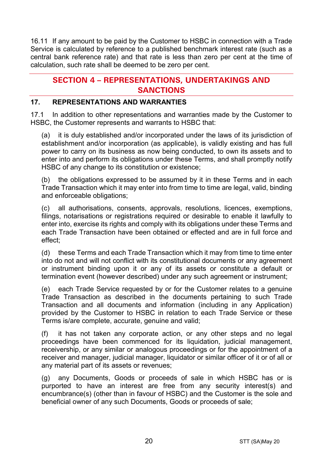16.11 If any amount to be paid by the Customer to HSBC in connection with a Trade Service is calculated by reference to a published benchmark interest rate (such as a central bank reference rate) and that rate is less than zero per cent at the time of calculation, such rate shall be deemed to be zero per cent.

# **SECTION 4 – REPRESENTATIONS, UNDERTAKINGS AND SANCTIONS**

## **17. REPRESENTATIONS AND WARRANTIES**

17.1 In addition to other representations and warranties made by the Customer to HSBC, the Customer represents and warrants to HSBC that:

(a) it is duly established and/or incorporated under the laws of its jurisdiction of establishment and/or incorporation (as applicable), is validly existing and has full power to carry on its business as now being conducted, to own its assets and to enter into and perform its obligations under these Terms, and shall promptly notify HSBC of any change to its constitution or existence;

(b) the obligations expressed to be assumed by it in these Terms and in each Trade Transaction which it may enter into from time to time are legal, valid, binding and enforceable obligations;

(c) all authorisations, consents, approvals, resolutions, licences, exemptions, filings, notarisations or registrations required or desirable to enable it lawfully to enter into, exercise its rights and comply with its obligations under these Terms and each Trade Transaction have been obtained or effected and are in full force and effect;

(d) these Terms and each Trade Transaction which it may from time to time enter into do not and will not conflict with its constitutional documents or any agreement or instrument binding upon it or any of its assets or constitute a default or termination event (however described) under any such agreement or instrument;

(e) each Trade Service requested by or for the Customer relates to a genuine Trade Transaction as described in the documents pertaining to such Trade Transaction and all documents and information (including in any Application) provided by the Customer to HSBC in relation to each Trade Service or these Terms is/are complete, accurate, genuine and valid;

(f) it has not taken any corporate action, or any other steps and no legal proceedings have been commenced for its liquidation, judicial management, receivership, or any similar or analogous proceedings or for the appointment of a receiver and manager, judicial manager, liquidator or similar officer of it or of all or any material part of its assets or revenues;

(g) any Documents, Goods or proceeds of sale in which HSBC has or is purported to have an interest are free from any security interest(s) and encumbrance(s) (other than in favour of HSBC) and the Customer is the sole and beneficial owner of any such Documents, Goods or proceeds of sale;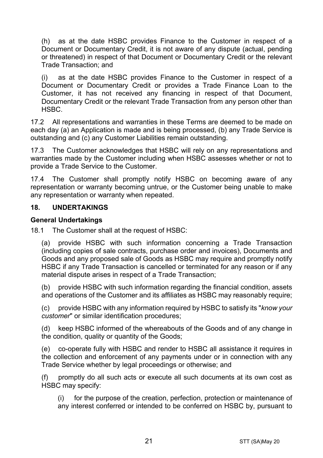(h) as at the date HSBC provides Finance to the Customer in respect of a Document or Documentary Credit, it is not aware of any dispute (actual, pending or threatened) in respect of that Document or Documentary Credit or the relevant Trade Transaction; and

(i) as at the date HSBC provides Finance to the Customer in respect of a Document or Documentary Credit or provides a Trade Finance Loan to the Customer, it has not received any financing in respect of that Document, Documentary Credit or the relevant Trade Transaction from any person other than HSBC.

17.2 All representations and warranties in these Terms are deemed to be made on each day (a) an Application is made and is being processed, (b) any Trade Service is outstanding and (c) any Customer Liabilities remain outstanding.

17.3 The Customer acknowledges that HSBC will rely on any representations and warranties made by the Customer including when HSBC assesses whether or not to provide a Trade Service to the Customer.

17.4 The Customer shall promptly notify HSBC on becoming aware of any representation or warranty becoming untrue, or the Customer being unable to make any representation or warranty when repeated.

#### **18. UNDERTAKINGS**

#### **General Undertakings**

18.1 The Customer shall at the request of HSBC:

(a) provide HSBC with such information concerning a Trade Transaction (including copies of sale contracts, purchase order and invoices), Documents and Goods and any proposed sale of Goods as HSBC may require and promptly notify HSBC if any Trade Transaction is cancelled or terminated for any reason or if any material dispute arises in respect of a Trade Transaction;

(b) provide HSBC with such information regarding the financial condition, assets and operations of the Customer and its affiliates as HSBC may reasonably require;

(c) provide HSBC with any information required by HSBC to satisfy its "*know your customer*" or similar identification procedures;

(d) keep HSBC informed of the whereabouts of the Goods and of any change in the condition, quality or quantity of the Goods;

(e) co-operate fully with HSBC and render to HSBC all assistance it requires in the collection and enforcement of any payments under or in connection with any Trade Service whether by legal proceedings or otherwise; and

(f) promptly do all such acts or execute all such documents at its own cost as HSBC may specify:

(i) for the purpose of the creation, perfection, protection or maintenance of any interest conferred or intended to be conferred on HSBC by, pursuant to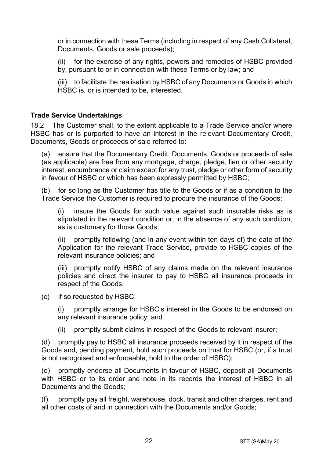or in connection with these Terms (including in respect of any Cash Collateral, Documents, Goods or sale proceeds);

(ii) for the exercise of any rights, powers and remedies of HSBC provided by, pursuant to or in connection with these Terms or by law; and

(iii) to facilitate the realisation by HSBC of any Documents or Goods in which HSBC is, or is intended to be, interested.

#### **Trade Service Undertakings**

18.2 The Customer shall, to the extent applicable to a Trade Service and/or where HSBC has or is purported to have an interest in the relevant Documentary Credit, Documents, Goods or proceeds of sale referred to:

(a) ensure that the Documentary Credit, Documents, Goods or proceeds of sale (as applicable) are free from any mortgage, charge, pledge, lien or other security interest, encumbrance or claim except for any trust, pledge or other form of security in favour of HSBC or which has been expressly permitted by HSBC;

(b) for so long as the Customer has title to the Goods or if as a condition to the Trade Service the Customer is required to procure the insurance of the Goods:

(i) insure the Goods for such value against such insurable risks as is stipulated in the relevant condition or, in the absence of any such condition, as is customary for those Goods;

(ii) promptly following (and in any event within ten days of) the date of the Application for the relevant Trade Service, provide to HSBC copies of the relevant insurance policies; and

(iii) promptly notify HSBC of any claims made on the relevant insurance policies and direct the insurer to pay to HSBC all insurance proceeds in respect of the Goods;

(c) if so requested by HSBC:

(i) promptly arrange for HSBC's interest in the Goods to be endorsed on any relevant insurance policy; and

(ii) promptly submit claims in respect of the Goods to relevant insurer;

(d) promptly pay to HSBC all insurance proceeds received by it in respect of the Goods and, pending payment, hold such proceeds on trust for HSBC (or, if a trust is not recognised and enforceable, hold to the order of HSBC);

(e) promptly endorse all Documents in favour of HSBC, deposit all Documents with HSBC or to its order and note in its records the interest of HSBC in all Documents and the Goods;

(f) promptly pay all freight, warehouse, dock, transit and other charges, rent and all other costs of and in connection with the Documents and/or Goods;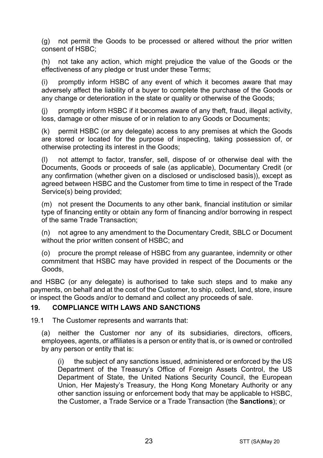(g) not permit the Goods to be processed or altered without the prior written consent of HSBC;

(h) not take any action, which might prejudice the value of the Goods or the effectiveness of any pledge or trust under these Terms;

(i) promptly inform HSBC of any event of which it becomes aware that may adversely affect the liability of a buyer to complete the purchase of the Goods or any change or deterioration in the state or quality or otherwise of the Goods;

(j) promptly inform HSBC if it becomes aware of any theft, fraud, illegal activity, loss, damage or other misuse of or in relation to any Goods or Documents;

(k) permit HSBC (or any delegate) access to any premises at which the Goods are stored or located for the purpose of inspecting, taking possession of, or otherwise protecting its interest in the Goods;

(l) not attempt to factor, transfer, sell, dispose of or otherwise deal with the Documents, Goods or proceeds of sale (as applicable), Documentary Credit (or any confirmation (whether given on a disclosed or undisclosed basis)), except as agreed between HSBC and the Customer from time to time in respect of the Trade Service(s) being provided;

(m) not present the Documents to any other bank, financial institution or similar type of financing entity or obtain any form of financing and/or borrowing in respect of the same Trade Transaction;

(n) not agree to any amendment to the Documentary Credit, SBLC or Document without the prior written consent of HSBC; and

(o) procure the prompt release of HSBC from any guarantee, indemnity or other commitment that HSBC may have provided in respect of the Documents or the Goods,

and HSBC (or any delegate) is authorised to take such steps and to make any payments, on behalf and at the cost of the Customer, to ship, collect, land, store, insure or inspect the Goods and/or to demand and collect any proceeds of sale.

#### **19. COMPLIANCE WITH LAWS AND SANCTIONS**

19.1 The Customer represents and warrants that:

(a) neither the Customer nor any of its subsidiaries, directors, officers, employees, agents, or affiliates is a person or entity that is, or is owned or controlled by any person or entity that is:

(i) the subject of any sanctions issued, administered or enforced by the US Department of the Treasury's Office of Foreign Assets Control, the US Department of State, the United Nations Security Council, the European Union, Her Majesty's Treasury, the Hong Kong Monetary Authority or any other sanction issuing or enforcement body that may be applicable to HSBC, the Customer, a Trade Service or a Trade Transaction (the **Sanctions**); or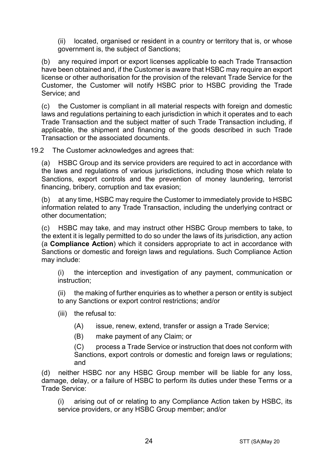(ii) located, organised or resident in a country or territory that is, or whose government is, the subject of Sanctions;

(b) any required import or export licenses applicable to each Trade Transaction have been obtained and, if the Customer is aware that HSBC may require an export license or other authorisation for the provision of the relevant Trade Service for the Customer, the Customer will notify HSBC prior to HSBC providing the Trade Service; and

(c) the Customer is compliant in all material respects with foreign and domestic laws and regulations pertaining to each jurisdiction in which it operates and to each Trade Transaction and the subject matter of such Trade Transaction including, if applicable, the shipment and financing of the goods described in such Trade Transaction or the associated documents.

19.2 The Customer acknowledges and agrees that:

(a) HSBC Group and its service providers are required to act in accordance with the laws and regulations of various jurisdictions, including those which relate to Sanctions, export controls and the prevention of money laundering, terrorist financing, bribery, corruption and tax evasion;

(b) at any time, HSBC may require the Customer to immediately provide to HSBC information related to any Trade Transaction, including the underlying contract or other documentation;

(c) HSBC may take, and may instruct other HSBC Group members to take, to the extent it is legally permitted to do so under the laws of its jurisdiction, any action (a **Compliance Action**) which it considers appropriate to act in accordance with Sanctions or domestic and foreign laws and regulations. Such Compliance Action may include:

(i) the interception and investigation of any payment, communication or instruction;

(ii) the making of further enquiries as to whether a person or entity is subject to any Sanctions or export control restrictions; and/or

- (iii) the refusal to:
	- (A) issue, renew, extend, transfer or assign a Trade Service;
	- (B) make payment of any Claim; or

(C) process a Trade Service or instruction that does not conform with Sanctions, export controls or domestic and foreign laws or regulations; and

(d) neither HSBC nor any HSBC Group member will be liable for any loss, damage, delay, or a failure of HSBC to perform its duties under these Terms or a Trade Service:

(i) arising out of or relating to any Compliance Action taken by HSBC, its service providers, or any HSBC Group member; and/or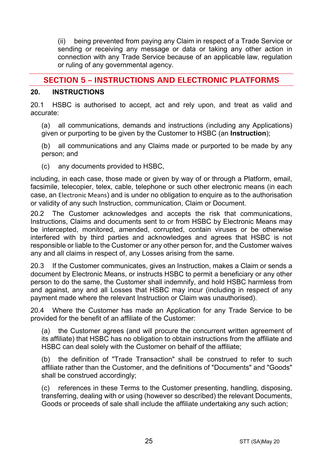(ii) being prevented from paying any Claim in respect of a Trade Service or sending or receiving any message or data or taking any other action in connection with any Trade Service because of an applicable law, regulation or ruling of any governmental agency.

# **SECTION 5 – INSTRUCTIONS AND ELECTRONIC PLATFORMS**

#### **20. INSTRUCTIONS**

20.1 HSBC is authorised to accept, act and rely upon, and treat as valid and accurate:

(a) all communications, demands and instructions (including any Applications) given or purporting to be given by the Customer to HSBC (an **Instruction**);

(b) all communications and any Claims made or purported to be made by any person; and

(c) any documents provided to HSBC,

including, in each case, those made or given by way of or through a Platform, email, facsimile, telecopier, telex, cable, telephone or such other electronic means (in each case, an Electronic Means) and is under no obligation to enquire as to the authorisation or validity of any such Instruction, communication, Claim or Document.

20.2 The Customer acknowledges and accepts the risk that communications, Instructions, Claims and documents sent to or from HSBC by Electronic Means may be intercepted, monitored, amended, corrupted, contain viruses or be otherwise interfered with by third parties and acknowledges and agrees that HSBC is not responsible or liable to the Customer or any other person for, and the Customer waives any and all claims in respect of, any Losses arising from the same.

20.3 If the Customer communicates, gives an Instruction, makes a Claim or sends a document by Electronic Means, or instructs HSBC to permit a beneficiary or any other person to do the same, the Customer shall indemnify, and hold HSBC harmless from and against, any and all Losses that HSBC may incur (including in respect of any payment made where the relevant Instruction or Claim was unauthorised).

20.4 Where the Customer has made an Application for any Trade Service to be provided for the benefit of an affiliate of the Customer:

(a) the Customer agrees (and will procure the concurrent written agreement of its affiliate) that HSBC has no obligation to obtain instructions from the affiliate and HSBC can deal solely with the Customer on behalf of the affiliate;

(b) the definition of "Trade Transaction" shall be construed to refer to such affiliate rather than the Customer, and the definitions of "Documents" and "Goods" shall be construed accordingly;

(c) references in these Terms to the Customer presenting, handling, disposing, transferring, dealing with or using (however so described) the relevant Documents, Goods or proceeds of sale shall include the affiliate undertaking any such action;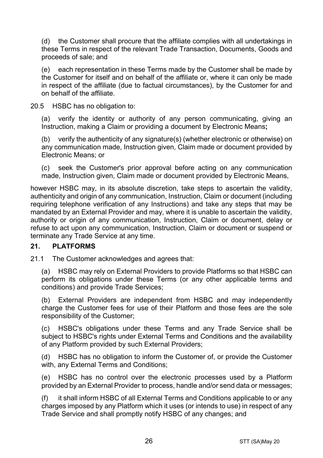(d) the Customer shall procure that the affiliate complies with all undertakings in these Terms in respect of the relevant Trade Transaction, Documents, Goods and proceeds of sale; and

(e) each representation in these Terms made by the Customer shall be made by the Customer for itself and on behalf of the affiliate or, where it can only be made in respect of the affiliate (due to factual circumstances), by the Customer for and on behalf of the affiliate.

20.5 HSBC has no obligation to:

(a) verify the identity or authority of any person communicating, giving an Instruction, making a Claim or providing a document by Electronic Means**;**

(b) verify the authenticity of any signature(s) (whether electronic or otherwise) on any communication made, Instruction given, Claim made or document provided by Electronic Means; or

(c) seek the Customer's prior approval before acting on any communication made, Instruction given, Claim made or document provided by Electronic Means,

however HSBC may, in its absolute discretion, take steps to ascertain the validity, authenticity and origin of any communication, Instruction, Claim or document (including requiring telephone verification of any Instructions) and take any steps that may be mandated by an External Provider and may, where it is unable to ascertain the validity, authority or origin of any communication, Instruction, Claim or document, delay or refuse to act upon any communication, Instruction, Claim or document or suspend or terminate any Trade Service at any time.

#### **21. PLATFORMS**

21.1 The Customer acknowledges and agrees that:

(a) HSBC may rely on External Providers to provide Platforms so that HSBC can perform its obligations under these Terms (or any other applicable terms and conditions) and provide Trade Services;

(b) External Providers are independent from HSBC and may independently charge the Customer fees for use of their Platform and those fees are the sole responsibility of the Customer;

(c) HSBC's obligations under these Terms and any Trade Service shall be subject to HSBC's rights under External Terms and Conditions and the availability of any Platform provided by such External Providers;

(d) HSBC has no obligation to inform the Customer of, or provide the Customer with, any External Terms and Conditions;

(e) HSBC has no control over the electronic processes used by a Platform provided by an External Provider to process, handle and/or send data or messages;

(f) it shall inform HSBC of all External Terms and Conditions applicable to or any charges imposed by any Platform which it uses (or intends to use) in respect of any Trade Service and shall promptly notify HSBC of any changes; and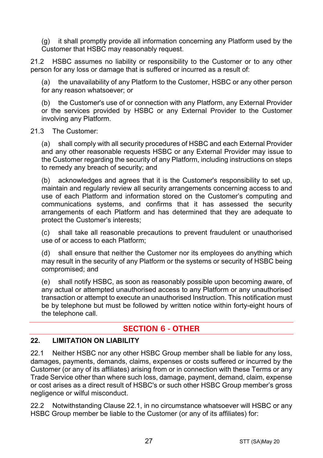(g) it shall promptly provide all information concerning any Platform used by the Customer that HSBC may reasonably request.

21.2 HSBC assumes no liability or responsibility to the Customer or to any other person for any loss or damage that is suffered or incurred as a result of:

(a) the unavailability of any Platform to the Customer, HSBC or any other person for any reason whatsoever; or

(b) the Customer's use of or connection with any Platform, any External Provider or the services provided by HSBC or any External Provider to the Customer involving any Platform.

#### 21.3 The Customer:

(a) shall comply with all security procedures of HSBC and each External Provider and any other reasonable requests HSBC or any External Provider may issue to the Customer regarding the security of any Platform, including instructions on steps to remedy any breach of security; and

(b) acknowledges and agrees that it is the Customer's responsibility to set up, maintain and regularly review all security arrangements concerning access to and use of each Platform and information stored on the Customer's computing and communications systems, and confirms that it has assessed the security arrangements of each Platform and has determined that they are adequate to protect the Customer's interests;

(c) shall take all reasonable precautions to prevent fraudulent or unauthorised use of or access to each Platform;

(d) shall ensure that neither the Customer nor its employees do anything which may result in the security of any Platform or the systems or security of HSBC being compromised; and

(e) shall notify HSBC, as soon as reasonably possible upon becoming aware, of any actual or attempted unauthorised access to any Platform or any unauthorised transaction or attempt to execute an unauthorised Instruction. This notification must be by telephone but must be followed by written notice within forty-eight hours of the telephone call.

# **SECTION 6 - OTHER**

## **22. LIMITATION ON LIABILITY**

22.1 Neither HSBC nor any other HSBC Group member shall be liable for any loss, damages, payments, demands, claims, expenses or costs suffered or incurred by the Customer (or any of its affiliates) arising from or in connection with these Terms or any Trade Service other than where such loss, damage, payment, demand, claim, expense or cost arises as a direct result of HSBC's or such other HSBC Group member's gross negligence or wilful misconduct.

22.2 Notwithstanding Clause 22.1, in no circumstance whatsoever will HSBC or any HSBC Group member be liable to the Customer (or any of its affiliates) for: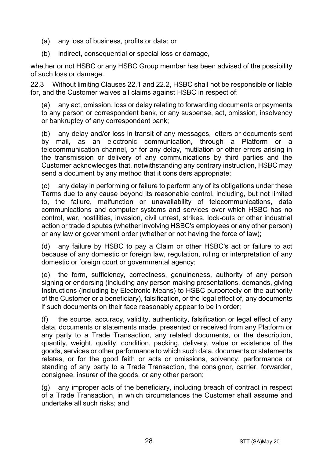- (a) any loss of business, profits or data; or
- (b) indirect, consequential or special loss or damage,

whether or not HSBC or any HSBC Group member has been advised of the possibility of such loss or damage.

22.3 Without limiting Clauses 22.1 and 22.2, HSBC shall not be responsible or liable for, and the Customer waives all claims against HSBC in respect of:

(a) any act, omission, loss or delay relating to forwarding documents or payments to any person or correspondent bank, or any suspense, act, omission, insolvency or bankruptcy of any correspondent bank;

(b) any delay and/or loss in transit of any messages, letters or documents sent by mail, as an electronic communication, through a Platform or a telecommunication channel, or for any delay, mutilation or other errors arising in the transmission or delivery of any communications by third parties and the Customer acknowledges that, notwithstanding any contrary instruction, HSBC may send a document by any method that it considers appropriate;

(c) any delay in performing or failure to perform any of its obligations under these Terms due to any cause beyond its reasonable control, including, but not limited to, the failure, malfunction or unavailability of telecommunications, data communications and computer systems and services over which HSBC has no control, war, hostilities, invasion, civil unrest, strikes, lock-outs or other industrial action or trade disputes (whether involving HSBC's employees or any other person) or any law or government order (whether or not having the force of law);

(d) any failure by HSBC to pay a Claim or other HSBC's act or failure to act because of any domestic or foreign law, regulation, ruling or interpretation of any domestic or foreign court or governmental agency;

(e) the form, sufficiency, correctness, genuineness, authority of any person signing or endorsing (including any person making presentations, demands, giving Instructions (including by Electronic Means) to HSBC purportedly on the authority of the Customer or a beneficiary), falsification, or the legal effect of, any documents if such documents on their face reasonably appear to be in order;

(f) the source, accuracy, validity, authenticity, falsification or legal effect of any data, documents or statements made, presented or received from any Platform or any party to a Trade Transaction, any related documents, or the description, quantity, weight, quality, condition, packing, delivery, value or existence of the goods, services or other performance to which such data, documents or statements relates, or for the good faith or acts or omissions, solvency, performance or standing of any party to a Trade Transaction, the consignor, carrier, forwarder, consignee, insurer of the goods, or any other person;

(g) any improper acts of the beneficiary, including breach of contract in respect of a Trade Transaction, in which circumstances the Customer shall assume and undertake all such risks; and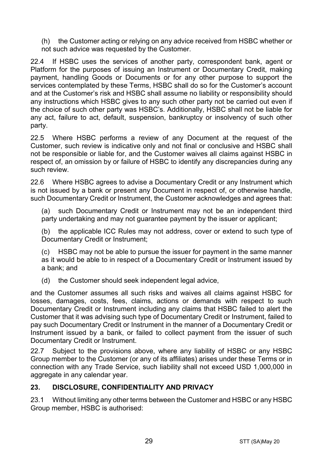(h) the Customer acting or relying on any advice received from HSBC whether or not such advice was requested by the Customer.

22.4 If HSBC uses the services of another party, correspondent bank, agent or Platform for the purposes of issuing an Instrument or Documentary Credit, making payment, handling Goods or Documents or for any other purpose to support the services contemplated by these Terms, HSBC shall do so for the Customer's account and at the Customer's risk and HSBC shall assume no liability or responsibility should any instructions which HSBC gives to any such other party not be carried out even if the choice of such other party was HSBC's. Additionally, HSBC shall not be liable for any act, failure to act, default, suspension, bankruptcy or insolvency of such other party.

22.5 Where HSBC performs a review of any Document at the request of the Customer, such review is indicative only and not final or conclusive and HSBC shall not be responsible or liable for, and the Customer waives all claims against HSBC in respect of, an omission by or failure of HSBC to identify any discrepancies during any such review.

22.6 Where HSBC agrees to advise a Documentary Credit or any Instrument which is not issued by a bank or present any Document in respect of, or otherwise handle, such Documentary Credit or Instrument, the Customer acknowledges and agrees that:

(a) such Documentary Credit or Instrument may not be an independent third party undertaking and may not quarantee payment by the issuer or applicant;

(b) the applicable ICC Rules may not address, cover or extend to such type of Documentary Credit or Instrument;

(c) HSBC may not be able to pursue the issuer for payment in the same manner as it would be able to in respect of a Documentary Credit or Instrument issued by a bank; and

(d) the Customer should seek independent legal advice,

and the Customer assumes all such risks and waives all claims against HSBC for losses, damages, costs, fees, claims, actions or demands with respect to such Documentary Credit or Instrument including any claims that HSBC failed to alert the Customer that it was advising such type of Documentary Credit or Instrument, failed to pay such Documentary Credit or Instrument in the manner of a Documentary Credit or Instrument issued by a bank, or failed to collect payment from the issuer of such Documentary Credit or Instrument.

22.7 Subject to the provisions above, where any liability of HSBC or any HSBC Group member to the Customer (or any of its affiliates) arises under these Terms or in connection with any Trade Service, such liability shall not exceed USD 1,000,000 in aggregate in any calendar year.

#### **23. DISCLOSURE, CONFIDENTIALITY AND PRIVACY**

23.1 Without limiting any other terms between the Customer and HSBC or any HSBC Group member, HSBC is authorised: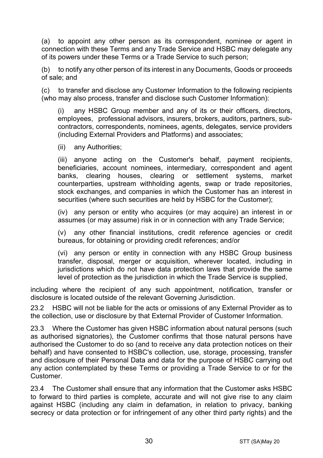(a) to appoint any other person as its correspondent, nominee or agent in connection with these Terms and any Trade Service and HSBC may delegate any of its powers under these Terms or a Trade Service to such person;

(b) to notify any other person of its interest in any Documents, Goods or proceeds of sale; and

(c) to transfer and disclose any Customer Information to the following recipients (who may also process, transfer and disclose such Customer Information):

(i) any HSBC Group member and any of its or their officers, directors, employees, professional advisors, insurers, brokers, auditors, partners, subcontractors, correspondents, nominees, agents, delegates, service providers (including External Providers and Platforms) and associates;

(ii) any Authorities;

(iii) anyone acting on the Customer's behalf, payment recipients, beneficiaries, account nominees, intermediary, correspondent and agent banks, clearing houses, clearing or settlement systems, market counterparties, upstream withholding agents, swap or trade repositories, stock exchanges, and companies in which the Customer has an interest in securities (where such securities are held by HSBC for the Customer);

(iv) any person or entity who acquires (or may acquire) an interest in or assumes (or may assume) risk in or in connection with any Trade Service;

(v) any other financial institutions, credit reference agencies or credit bureaus, for obtaining or providing credit references; and/or

(vi) any person or entity in connection with any HSBC Group business transfer, disposal, merger or acquisition, wherever located, including in jurisdictions which do not have data protection laws that provide the same level of protection as the jurisdiction in which the Trade Service is supplied,

including where the recipient of any such appointment, notification, transfer or disclosure is located outside of the relevant Governing Jurisdiction.

23.2 HSBC will not be liable for the acts or omissions of any External Provider as to the collection, use or disclosure by that External Provider of Customer Information.

23.3 Where the Customer has given HSBC information about natural persons (such as authorised signatories), the Customer confirms that those natural persons have authorised the Customer to do so (and to receive any data protection notices on their behalf) and have consented to HSBC's collection, use, storage, processing, transfer and disclosure of their Personal Data and data for the purpose of HSBC carrying out any action contemplated by these Terms or providing a Trade Service to or for the Customer.

23.4 The Customer shall ensure that any information that the Customer asks HSBC to forward to third parties is complete, accurate and will not give rise to any claim against HSBC (including any claim in defamation, in relation to privacy, banking secrecy or data protection or for infringement of any other third party rights) and the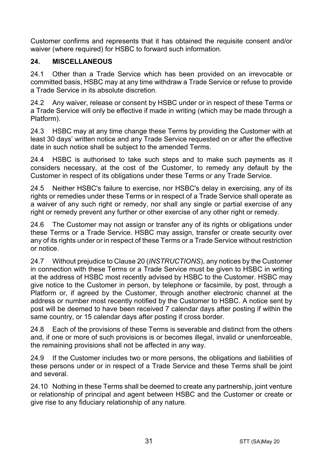Customer confirms and represents that it has obtained the requisite consent and/or waiver (where required) for HSBC to forward such information.

## **24. MISCELLANEOUS**

24.1 Other than a Trade Service which has been provided on an irrevocable or committed basis, HSBC may at any time withdraw a Trade Service or refuse to provide a Trade Service in its absolute discretion.

24.2 Any waiver, release or consent by HSBC under or in respect of these Terms or a Trade Service will only be effective if made in writing (which may be made through a Platform).

24.3 HSBC may at any time change these Terms by providing the Customer with at least 30 days' written notice and any Trade Service requested on or after the effective date in such notice shall be subject to the amended Terms.

24.4 HSBC is authorised to take such steps and to make such payments as it considers necessary, at the cost of the Customer, to remedy any default by the Customer in respect of its obligations under these Terms or any Trade Service.

24.5 Neither HSBC's failure to exercise, nor HSBC's delay in exercising, any of its rights or remedies under these Terms or in respect of a Trade Service shall operate as a waiver of any such right or remedy, nor shall any single or partial exercise of any right or remedy prevent any further or other exercise of any other right or remedy.

24.6 The Customer may not assign or transfer any of its rights or obligations under these Terms or a Trade Service. HSBC may assign, transfer or create security over any of its rights under or in respect of these Terms or a Trade Service without restriction or notice.

24.7 Without prejudice to Clause 20 (*INSTRUCTIONS*), any notices by the Customer in connection with these Terms or a Trade Service must be given to HSBC in writing at the address of HSBC most recently advised by HSBC to the Customer. HSBC may give notice to the Customer in person, by telephone or facsimile, by post, through a Platform or, if agreed by the Customer, through another electronic channel at the address or number most recently notified by the Customer to HSBC. A notice sent by post will be deemed to have been received 7 calendar days after posting if within the same country, or 15 calendar days after posting if cross border.

24.8 Each of the provisions of these Terms is severable and distinct from the others and, if one or more of such provisions is or becomes illegal, invalid or unenforceable, the remaining provisions shall not be affected in any way.

24.9 If the Customer includes two or more persons, the obligations and liabilities of these persons under or in respect of a Trade Service and these Terms shall be joint and several.

24.10 Nothing in these Terms shall be deemed to create any partnership, joint venture or relationship of principal and agent between HSBC and the Customer or create or give rise to any fiduciary relationship of any nature.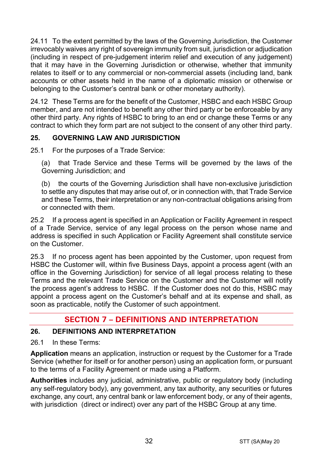24.11 To the extent permitted by the laws of the Governing Jurisdiction, the Customer irrevocably waives any right of sovereign immunity from suit, jurisdiction or adjudication (including in respect of pre-judgement interim relief and execution of any judgement) that it may have in the Governing Jurisdiction or otherwise, whether that immunity relates to itself or to any commercial or non-commercial assets (including land, bank accounts or other assets held in the name of a diplomatic mission or otherwise or belonging to the Customer's central bank or other monetary authority).

24.12 These Terms are for the benefit of the Customer, HSBC and each HSBC Group member, and are not intended to benefit any other third party or be enforceable by any other third party. Any rights of HSBC to bring to an end or change these Terms or any contract to which they form part are not subject to the consent of any other third party.

# **25. GOVERNING LAW AND JURISDICTION**

25.1 For the purposes of a Trade Service:

(a) that Trade Service and these Terms will be governed by the laws of the Governing Jurisdiction; and

(b) the courts of the Governing Jurisdiction shall have non-exclusive jurisdiction to settle any disputes that may arise out of, or in connection with, that Trade Service and these Terms, their interpretation or any non-contractual obligations arising from or connected with them.

25.2 If a process agent is specified in an Application or Facility Agreement in respect of a Trade Service, service of any legal process on the person whose name and address is specified in such Application or Facility Agreement shall constitute service on the Customer.

25.3 If no process agent has been appointed by the Customer, upon request from HSBC the Customer will, within five Business Days, appoint a process agent (with an office in the Governing Jurisdiction) for service of all legal process relating to these Terms and the relevant Trade Service on the Customer and the Customer will notify the process agent's address to HSBC. If the Customer does not do this, HSBC may appoint a process agent on the Customer's behalf and at its expense and shall, as soon as practicable, notify the Customer of such appointment.

# **SECTION 7 – DEFINITIONS AND INTERPRETATION**

#### **26. DEFINITIONS AND INTERPRETATION**

26.1 In these Terms:

**Application** means an application, instruction or request by the Customer for a Trade Service (whether for itself or for another person) using an application form, or pursuant to the terms of a Facility Agreement or made using a Platform.

**Authorities** includes any judicial, administrative, public or regulatory body (including any self-regulatory body), any government, any tax authority, any securities or futures exchange, any court, any central bank or law enforcement body, or any of their agents, with jurisdiction (direct or indirect) over any part of the HSBC Group at any time.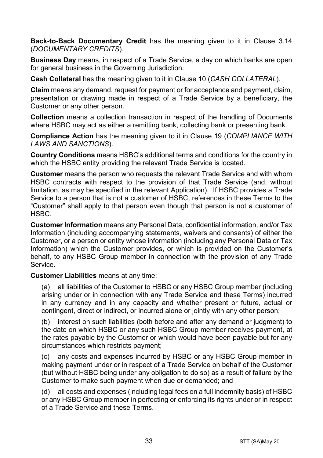**Back-to-Back Documentary Credit** has the meaning given to it in Clause 3.14 (*DOCUMENTARY CREDITS*).

**Business Day** means, in respect of a Trade Service, a day on which banks are open for general business in the Governing Jurisdiction.

**Cash Collateral** has the meaning given to it in Clause 10 (*CASH COLLATERAL*).

**Claim** means any demand, request for payment or for acceptance and payment, claim, presentation or drawing made in respect of a Trade Service by a beneficiary, the Customer or any other person.

**Collection** means a collection transaction in respect of the handling of Documents where HSBC may act as either a remitting bank, collecting bank or presenting bank.

**Compliance Action** has the meaning given to it in Clause 19 (*COMPLIANCE WITH LAWS AND SANCTIONS*).

**Country Conditions** means HSBC's additional terms and conditions for the country in which the HSBC entity providing the relevant Trade Service is located.

**Customer** means the person who requests the relevant Trade Service and with whom HSBC contracts with respect to the provision of that Trade Service (and, without limitation, as may be specified in the relevant Application). If HSBC provides a Trade Service to a person that is not a customer of HSBC, references in these Terms to the "Customer" shall apply to that person even though that person is not a customer of HSBC.

**Customer Information** means any Personal Data, confidential information, and/or Tax Information (including accompanying statements, waivers and consents) of either the Customer, or a person or entity whose information (including any Personal Data or Tax Information) which the Customer provides, or which is provided on the Customer's behalf, to any HSBC Group member in connection with the provision of any Trade Service.

**Customer Liabilities** means at any time:

(a) all liabilities of the Customer to HSBC or any HSBC Group member (including arising under or in connection with any Trade Service and these Terms) incurred in any currency and in any capacity and whether present or future, actual or contingent, direct or indirect, or incurred alone or jointly with any other person;

(b) interest on such liabilities (both before and after any demand or judgment) to the date on which HSBC or any such HSBC Group member receives payment, at the rates payable by the Customer or which would have been payable but for any circumstances which restricts payment;

(c) any costs and expenses incurred by HSBC or any HSBC Group member in making payment under or in respect of a Trade Service on behalf of the Customer (but without HSBC being under any obligation to do so) as a result of failure by the Customer to make such payment when due or demanded; and

(d) all costs and expenses (including legal fees on a full indemnity basis) of HSBC or any HSBC Group member in perfecting or enforcing its rights under or in respect of a Trade Service and these Terms.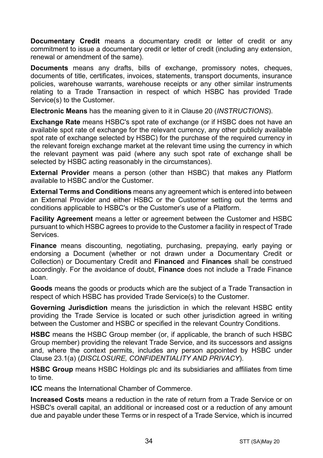**Documentary Credit** means a documentary credit or letter of credit or any commitment to issue a documentary credit or letter of credit (including any extension. renewal or amendment of the same).

**Documents** means any drafts, bills of exchange, promissory notes, cheques, documents of title, certificates, invoices, statements, transport documents, insurance policies, warehouse warrants, warehouse receipts or any other similar instruments relating to a Trade Transaction in respect of which HSBC has provided Trade Service(s) to the Customer.

**Electronic Means** has the meaning given to it in Clause 20 (*INSTRUCTIONS*).

**Exchange Rate** means HSBC's spot rate of exchange (or if HSBC does not have an available spot rate of exchange for the relevant currency, any other publicly available spot rate of exchange selected by HSBC) for the purchase of the required currency in the relevant foreign exchange market at the relevant time using the currency in which the relevant payment was paid (where any such spot rate of exchange shall be selected by HSBC acting reasonably in the circumstances).

**External Provider** means a person (other than HSBC) that makes any Platform available to HSBC and/or the Customer.

**External Terms and Conditions** means any agreement which is entered into between an External Provider and either HSBC or the Customer setting out the terms and conditions applicable to HSBC's or the Customer's use of a Platform.

**Facility Agreement** means a letter or agreement between the Customer and HSBC pursuant to which HSBC agrees to provide to the Customer a facility in respect of Trade Services.

**Finance** means discounting, negotiating, purchasing, prepaying, early paying or endorsing a Document (whether or not drawn under a Documentary Credit or Collection) or Documentary Credit and **Financed** and **Finances** shall be construed accordingly. For the avoidance of doubt, **Finance** does not include a Trade Finance Loan.

**Goods** means the goods or products which are the subject of a Trade Transaction in respect of which HSBC has provided Trade Service(s) to the Customer.

**Governing Jurisdiction** means the jurisdiction in which the relevant HSBC entity providing the Trade Service is located or such other jurisdiction agreed in writing between the Customer and HSBC or specified in the relevant Country Conditions.

**HSBC** means the HSBC Group member (or, if applicable, the branch of such HSBC Group member) providing the relevant Trade Service, and its successors and assigns and, where the context permits, includes any person appointed by HSBC under Clause 23.1(a) (*DISCLOSURE, CONFIDENTIALITY AND PRIVACY*).

**HSBC Group** means HSBC Holdings plc and its subsidiaries and affiliates from time to time.

**ICC** means the International Chamber of Commerce.

**Increased Costs** means a reduction in the rate of return from a Trade Service or on HSBC's overall capital, an additional or increased cost or a reduction of any amount due and payable under these Terms or in respect of a Trade Service, which is incurred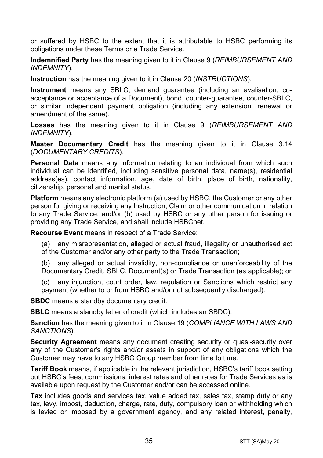or suffered by HSBC to the extent that it is attributable to HSBC performing its obligations under these Terms or a Trade Service.

**Indemnified Party** has the meaning given to it in Clause 9 (*REIMBURSEMENT AND INDEMNITY*).

**Instruction** has the meaning given to it in Clause 20 (*INSTRUCTIONS*).

**Instrument** means any SBLC, demand guarantee (including an avalisation, coacceptance or acceptance of a Document), bond, counter-guarantee, counter-SBLC, or similar independent payment obligation (including any extension, renewal or amendment of the same).

**Losses** has the meaning given to it in Clause 9 (*REIMBURSEMENT AND INDEMNITY*).

**Master Documentary Credit** has the meaning given to it in Clause 3.14 (*DOCUMENTARY CREDITS*).

**Personal Data** means any information relating to an individual from which such individual can be identified, including sensitive personal data, name(s), residential address(es), contact information, age, date of birth, place of birth, nationality, citizenship, personal and marital status.

**Platform** means any electronic platform (a) used by HSBC, the Customer or any other person for giving or receiving any Instruction, Claim or other communication in relation to any Trade Service, and/or (b) used by HSBC or any other person for issuing or providing any Trade Service, and shall include HSBCnet.

**Recourse Event** means in respect of a Trade Service:

(a) any misrepresentation, alleged or actual fraud, illegality or unauthorised act of the Customer and/or any other party to the Trade Transaction;

(b) any alleged or actual invalidity, non-compliance or unenforceability of the Documentary Credit, SBLC, Document(s) or Trade Transaction (as applicable); or

(c) any injunction, court order, law, regulation or Sanctions which restrict any payment (whether to or from HSBC and/or not subsequently discharged).

**SBDC** means a standby documentary credit.

**SBLC** means a standby letter of credit (which includes an SBDC).

**Sanction** has the meaning given to it in Clause 19 (*COMPLIANCE WITH LAWS AND SANCTIONS*).

**Security Agreement** means any document creating security or quasi-security over any of the Customer's rights and/or assets in support of any obligations which the Customer may have to any HSBC Group member from time to time.

**Tariff Book** means, if applicable in the relevant jurisdiction, HSBC's tariff book setting out HSBC's fees, commissions, interest rates and other rates for Trade Services as is available upon request by the Customer and/or can be accessed online.

**Tax** includes goods and services tax, value added tax, sales tax, stamp duty or any tax, levy, impost, deduction, charge, rate, duty, compulsory loan or withholding which is levied or imposed by a government agency, and any related interest, penalty,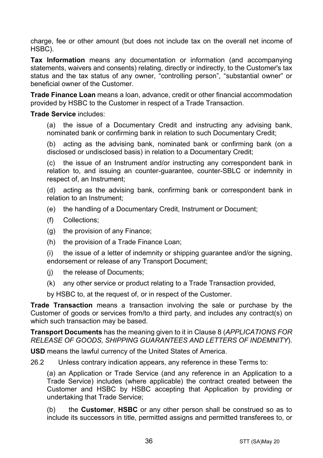charge, fee or other amount (but does not include tax on the overall net income of HSBC).

**Tax Information** means any documentation or information (and accompanying statements, waivers and consents) relating, directly or indirectly, to the Customer's tax status and the tax status of any owner, "controlling person", "substantial owner" or beneficial owner of the Customer.

**Trade Finance Loan** means a loan, advance, credit or other financial accommodation provided by HSBC to the Customer in respect of a Trade Transaction.

#### **Trade Service** includes:

(a) the issue of a Documentary Credit and instructing any advising bank, nominated bank or confirming bank in relation to such Documentary Credit;

(b) acting as the advising bank, nominated bank or confirming bank (on a disclosed or undisclosed basis) in relation to a Documentary Credit;

(c) the issue of an Instrument and/or instructing any correspondent bank in relation to, and issuing an counter-guarantee, counter-SBLC or indemnity in respect of, an Instrument;

(d) acting as the advising bank, confirming bank or correspondent bank in relation to an Instrument;

- (e) the handling of a Documentary Credit, Instrument or Document;
- (f) Collections;
- (g) the provision of any Finance;
- (h) the provision of a Trade Finance Loan;

(i) the issue of a letter of indemnity or shipping guarantee and/or the signing, endorsement or release of any Transport Document;

- (j) the release of Documents;
- (k) any other service or product relating to a Trade Transaction provided,

by HSBC to, at the request of, or in respect of the Customer.

**Trade Transaction** means a transaction involving the sale or purchase by the Customer of goods or services from/to a third party, and includes any contract(s) on which such transaction may be based.

**Transport Documents** has the meaning given to it in Clause 8 (*APPLICATIONS FOR RELEASE OF GOODS, SHIPPING GUARANTEES AND LETTERS OF INDEMNITY*).

**USD** means the lawful currency of the United States of America.

26.2 Unless contrary indication appears, any reference in these Terms to:

(a) an Application or Trade Service (and any reference in an Application to a Trade Service) includes (where applicable) the contract created between the Customer and HSBC by HSBC accepting that Application by providing or undertaking that Trade Service;

(b) the **Customer**, **HSBC** or any other person shall be construed so as to include its successors in title, permitted assigns and permitted transferees to, or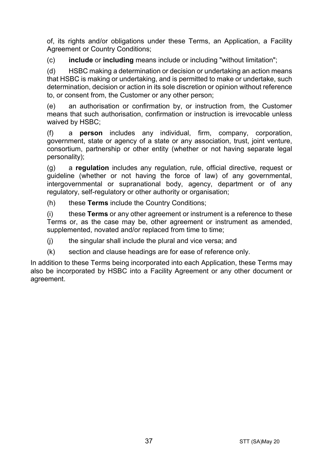of, its rights and/or obligations under these Terms, an Application, a Facility Agreement or Country Conditions;

(c) **include** or **including** means include or including "without limitation";

(d) HSBC making a determination or decision or undertaking an action means that HSBC is making or undertaking, and is permitted to make or undertake, such determination, decision or action in its sole discretion or opinion without reference to, or consent from, the Customer or any other person;

(e) an authorisation or confirmation by, or instruction from, the Customer means that such authorisation, confirmation or instruction is irrevocable unless waived by HSBC;

(f) a **person** includes any individual, firm, company, corporation, government, state or agency of a state or any association, trust, joint venture, consortium, partnership or other entity (whether or not having separate legal personality);

(g) a **regulation** includes any regulation, rule, official directive, request or guideline (whether or not having the force of law) of any governmental, intergovernmental or supranational body, agency, department or of any regulatory, self-regulatory or other authority or organisation;

(h) these **Terms** include the Country Conditions;

(i) these **Terms** or any other agreement or instrument is a reference to these Terms or, as the case may be, other agreement or instrument as amended, supplemented, novated and/or replaced from time to time;

(j) the singular shall include the plural and vice versa; and

(k) section and clause headings are for ease of reference only.

In addition to these Terms being incorporated into each Application, these Terms may also be incorporated by HSBC into a Facility Agreement or any other document or agreement.